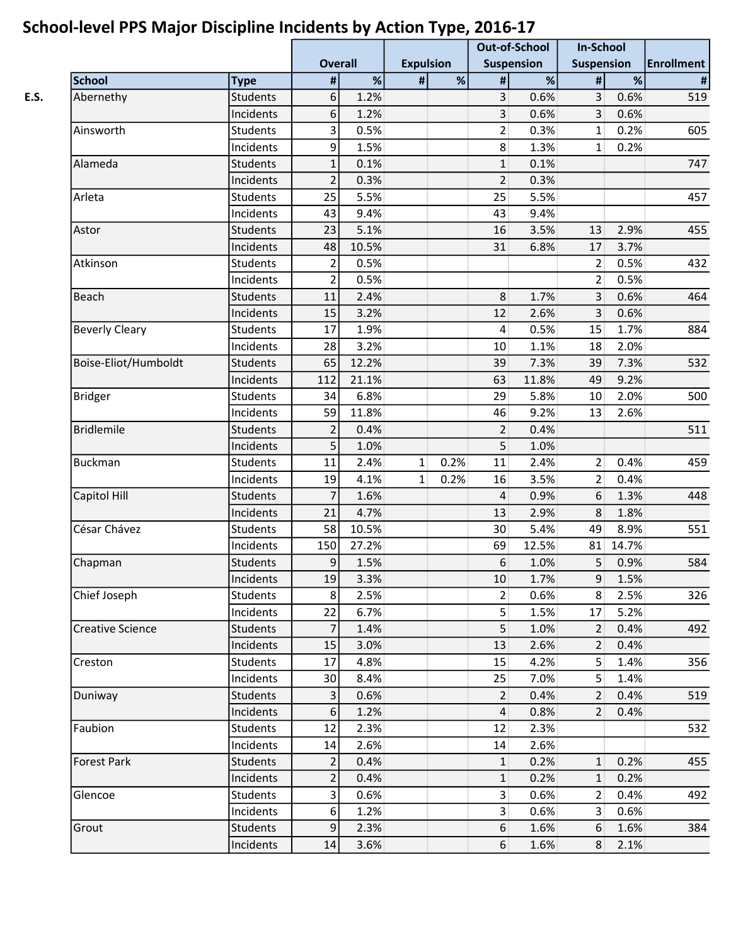|                         |                 |                         |       |                  | . .  | <b>Out-of-School</b> |       | <b>In-School</b>  |       |                   |
|-------------------------|-----------------|-------------------------|-------|------------------|------|----------------------|-------|-------------------|-------|-------------------|
|                         |                 | <b>Overall</b>          |       | <b>Expulsion</b> |      | <b>Suspension</b>    |       | <b>Suspension</b> |       | <b>Enrollment</b> |
| <b>School</b>           | <b>Type</b>     | #                       | %     | #                | %    | $\sharp$             | %     | $\#$              | %     | $\#$              |
| Abernethy               | <b>Students</b> | 6                       | 1.2%  |                  |      | 3                    | 0.6%  | 3                 | 0.6%  | 519               |
|                         | Incidents       | 6                       | 1.2%  |                  |      | 3                    | 0.6%  | 3                 | 0.6%  |                   |
| Ainsworth               | <b>Students</b> | $\overline{\mathbf{3}}$ | 0.5%  |                  |      | $\overline{2}$       | 0.3%  | $\mathbf{1}$      | 0.2%  | 605               |
|                         | Incidents       | 9                       | 1.5%  |                  |      | 8                    | 1.3%  | $\mathbf{1}$      | 0.2%  |                   |
| Alameda                 | <b>Students</b> | $\mathbf{1}$            | 0.1%  |                  |      | $\mathbf{1}$         | 0.1%  |                   |       | 747               |
|                         | Incidents       | $\overline{2}$          | 0.3%  |                  |      | $\overline{2}$       | 0.3%  |                   |       |                   |
| Arleta                  | Students        | 25                      | 5.5%  |                  |      | 25                   | 5.5%  |                   |       | 457               |
|                         | Incidents       | 43                      | 9.4%  |                  |      | 43                   | 9.4%  |                   |       |                   |
| Astor                   | <b>Students</b> | 23                      | 5.1%  |                  |      | 16                   | 3.5%  | 13                | 2.9%  | 455               |
|                         | Incidents       | 48                      | 10.5% |                  |      | 31                   | 6.8%  | 17                | 3.7%  |                   |
| Atkinson                | <b>Students</b> | $\overline{2}$          | 0.5%  |                  |      |                      |       | 2                 | 0.5%  | 432               |
|                         | Incidents       | $\overline{2}$          | 0.5%  |                  |      |                      |       | $\overline{2}$    | 0.5%  |                   |
| Beach                   | <b>Students</b> | 11                      | 2.4%  |                  |      | 8                    | 1.7%  | 3                 | 0.6%  | 464               |
|                         | Incidents       | 15                      | 3.2%  |                  |      | 12                   | 2.6%  | 3                 | 0.6%  |                   |
| <b>Beverly Cleary</b>   | <b>Students</b> | 17                      | 1.9%  |                  |      | 4                    | 0.5%  | 15                | 1.7%  | 884               |
|                         | Incidents       | 28                      | 3.2%  |                  |      | 10                   | 1.1%  | 18                | 2.0%  |                   |
| Boise-Eliot/Humboldt    | <b>Students</b> | 65                      | 12.2% |                  |      | 39                   | 7.3%  | 39                | 7.3%  | 532               |
|                         | Incidents       | 112                     | 21.1% |                  |      | 63                   | 11.8% | 49                | 9.2%  |                   |
| <b>Bridger</b>          | Students        | 34                      | 6.8%  |                  |      | 29                   | 5.8%  | 10                | 2.0%  | 500               |
|                         | Incidents       | 59                      | 11.8% |                  |      | 46                   | 9.2%  | 13                | 2.6%  |                   |
| <b>Bridlemile</b>       | <b>Students</b> | $\overline{2}$          | 0.4%  |                  |      | $\overline{2}$       | 0.4%  |                   |       | 511               |
|                         | Incidents       | 5                       | 1.0%  |                  |      | 5                    | 1.0%  |                   |       |                   |
| <b>Buckman</b>          | <b>Students</b> | 11                      | 2.4%  | $\mathbf{1}$     | 0.2% | 11                   | 2.4%  | $\overline{2}$    | 0.4%  | 459               |
|                         | Incidents       | 19                      | 4.1%  | $\mathbf{1}$     | 0.2% | 16                   | 3.5%  | $\overline{2}$    | 0.4%  |                   |
| Capitol Hill            | <b>Students</b> | $\overline{7}$          | 1.6%  |                  |      | 4                    | 0.9%  | 6                 | 1.3%  | 448               |
|                         | Incidents       | 21                      | 4.7%  |                  |      | 13                   | 2.9%  | 8                 | 1.8%  |                   |
| César Chávez            | Students        | 58                      | 10.5% |                  |      | 30                   | 5.4%  | 49                | 8.9%  | 551               |
|                         | Incidents       | 150                     | 27.2% |                  |      | 69                   | 12.5% | 81                | 14.7% |                   |
| Chapman                 | Students        | 9                       | 1.5%  |                  |      | 6                    | 1.0%  | 5                 | 0.9%  | 584               |
|                         | Incidents       | 19                      | 3.3%  |                  |      | 10                   | 1.7%  | 9                 | 1.5%  |                   |
| Chief Joseph            | Students        | 8                       | 2.5%  |                  |      | $\overline{2}$       | 0.6%  | 8                 | 2.5%  | 326               |
|                         | Incidents       | 22                      | 6.7%  |                  |      | 5 <sup>1</sup>       | 1.5%  | 17                | 5.2%  |                   |
| <b>Creative Science</b> | Students        | $\overline{7}$          | 1.4%  |                  |      | 5 <sup>1</sup>       | 1.0%  | $\overline{2}$    | 0.4%  | 492               |
|                         | Incidents       | 15                      | 3.0%  |                  |      | 13                   | 2.6%  | 2                 | 0.4%  |                   |
| Creston                 | Students        | 17                      | 4.8%  |                  |      | 15                   | 4.2%  | 5                 | 1.4%  | 356               |
|                         | Incidents       | 30                      | 8.4%  |                  |      | 25                   | 7.0%  | 5 <sup>1</sup>    | 1.4%  |                   |
| Duniway                 | <b>Students</b> | $\overline{3}$          | 0.6%  |                  |      | $\overline{2}$       | 0.4%  | $\overline{2}$    | 0.4%  | 519               |
|                         | Incidents       | 6                       | 1.2%  |                  |      | 4                    | 0.8%  | 2 <sup>1</sup>    | 0.4%  |                   |
| Faubion                 | Students        | 12                      | 2.3%  |                  |      | 12                   | 2.3%  |                   |       | 532               |
|                         | Incidents       | 14                      | 2.6%  |                  |      | 14                   | 2.6%  |                   |       |                   |
| <b>Forest Park</b>      | Students        | $\overline{2}$          | 0.4%  |                  |      | $\mathbf{1}$         | 0.2%  | 1                 | 0.2%  | 455               |
|                         | Incidents       | $\overline{2}$          | 0.4%  |                  |      | $\mathbf{1}$         | 0.2%  | $\mathbf{1}$      | 0.2%  |                   |
| Glencoe                 | Students        | 3                       | 0.6%  |                  |      | 3 <sup>1</sup>       | 0.6%  | $\overline{2}$    | 0.4%  | 492               |
|                         | Incidents       | 6                       | 1.2%  |                  |      | 3 <sup>2</sup>       | 0.6%  | $\mathsf{3}$      | 0.6%  |                   |
| Grout                   | Students        | 9                       | 2.3%  |                  |      | 6                    | 1.6%  | 6                 | 1.6%  | 384               |
|                         | Incidents       | 14                      | 3.6%  |                  |      | 6                    | 1.6%  | 8 <sup>1</sup>    | 2.1%  |                   |
|                         |                 |                         |       |                  |      |                      |       |                   |       |                   |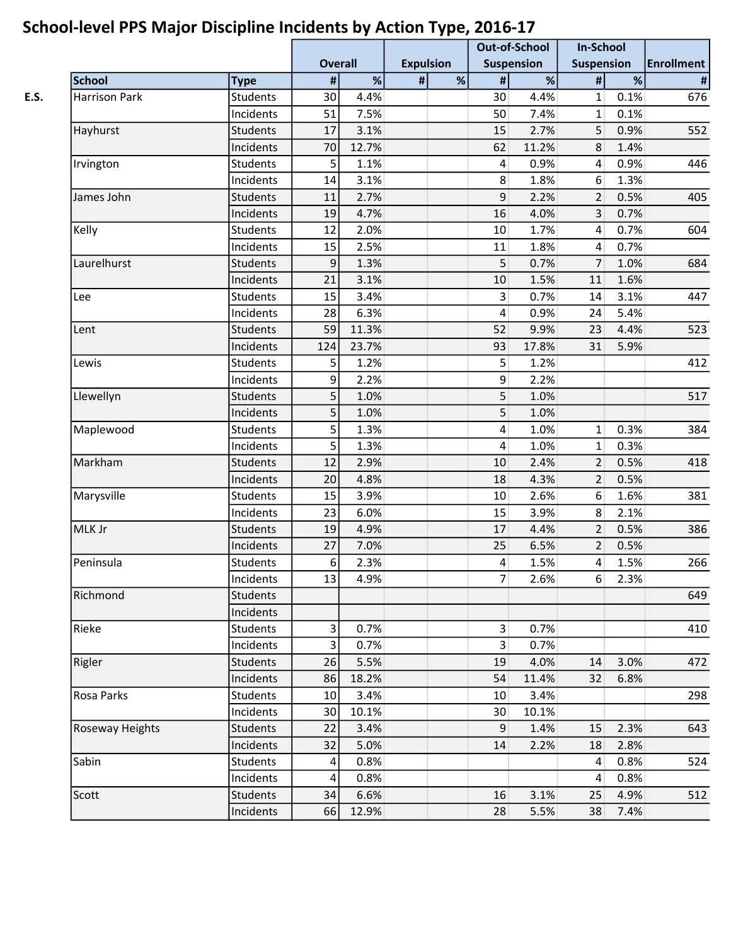|                      |                 | <b>Overall</b>          |       | <b>Expulsion</b> | . . | <b>Out-of-School</b><br><b>Suspension</b> |       | <b>In-School</b><br><b>Suspension</b> |      | <b>Enrollment</b> |
|----------------------|-----------------|-------------------------|-------|------------------|-----|-------------------------------------------|-------|---------------------------------------|------|-------------------|
| <b>School</b>        | <b>Type</b>     | $\pmb{\#}$              | %     | #                | %   | $\pmb{\#}$                                | $\%$  | #                                     | %    | $\pmb{\sharp}$    |
| <b>Harrison Park</b> | <b>Students</b> | 30                      | 4.4%  |                  |     | 30                                        | 4.4%  | $\mathbf{1}$                          | 0.1% | 676               |
|                      | Incidents       | 51                      | 7.5%  |                  |     | 50                                        | 7.4%  | $\mathbf{1}$                          | 0.1% |                   |
| Hayhurst             | <b>Students</b> | 17                      | 3.1%  |                  |     | 15                                        | 2.7%  | 5                                     | 0.9% | 552               |
|                      | Incidents       | 70                      | 12.7% |                  |     | 62                                        | 11.2% | 8                                     | 1.4% |                   |
| Irvington            | <b>Students</b> | 5                       | 1.1%  |                  |     | $\vert 4 \vert$                           | 0.9%  | $\vert 4 \vert$                       | 0.9% | 446               |
|                      | Incidents       | 14                      | 3.1%  |                  |     | 8 <sup>1</sup>                            | 1.8%  | $6\,$                                 | 1.3% |                   |
| James John           | <b>Students</b> | 11                      | 2.7%  |                  |     | 9                                         | 2.2%  | $\overline{2}$                        | 0.5% | 405               |
|                      | Incidents       | 19                      | 4.7%  |                  |     | 16                                        | 4.0%  | $\overline{\mathbf{3}}$               | 0.7% |                   |
| Kelly                | <b>Students</b> | 12                      | 2.0%  |                  |     | 10                                        | 1.7%  | $\overline{4}$                        | 0.7% | 604               |
|                      | Incidents       | 15                      | 2.5%  |                  |     | 11                                        | 1.8%  | $\overline{4}$                        | 0.7% |                   |
| Laurelhurst          | <b>Students</b> | 9                       | 1.3%  |                  |     | 5                                         | 0.7%  | 7                                     | 1.0% | 684               |
|                      | Incidents       | 21                      | 3.1%  |                  |     | 10                                        | 1.5%  | 11                                    | 1.6% |                   |
| Lee                  | <b>Students</b> | 15                      | 3.4%  |                  |     | 3 <sup>1</sup>                            | 0.7%  | 14                                    | 3.1% | 447               |
|                      | Incidents       | 28                      | 6.3%  |                  |     | $\vert 4 \vert$                           | 0.9%  | 24                                    | 5.4% |                   |
| Lent                 | <b>Students</b> | 59                      | 11.3% |                  |     | 52                                        | 9.9%  | 23                                    | 4.4% | 523               |
|                      | Incidents       | 124                     | 23.7% |                  |     | 93                                        | 17.8% | 31                                    | 5.9% |                   |
| Lewis                | <b>Students</b> | 5                       | 1.2%  |                  |     | 5 <sup>1</sup>                            | 1.2%  |                                       |      | 412               |
|                      | Incidents       | 9                       | 2.2%  |                  |     | $\overline{9}$                            | 2.2%  |                                       |      |                   |
| Llewellyn            | <b>Students</b> | 5                       | 1.0%  |                  |     | 5                                         | 1.0%  |                                       |      | 517               |
|                      | Incidents       | 5                       | 1.0%  |                  |     | 5                                         | 1.0%  |                                       |      |                   |
| Maplewood            | <b>Students</b> | 5                       | 1.3%  |                  |     | $\vert 4 \vert$                           | 1.0%  | $\mathbf{1}$                          | 0.3% | 384               |
|                      | Incidents       | 5                       | 1.3%  |                  |     | $\vert 4 \vert$                           | 1.0%  | $\mathbf{1}$                          | 0.3% |                   |
| Markham              | <b>Students</b> | 12                      | 2.9%  |                  |     | 10                                        | 2.4%  | $\overline{2}$                        | 0.5% | 418               |
|                      | Incidents       | 20                      | 4.8%  |                  |     | 18                                        | 4.3%  | $\overline{2}$                        | 0.5% |                   |
| Marysville           | <b>Students</b> | 15                      | 3.9%  |                  |     | 10                                        | 2.6%  | 6                                     | 1.6% | 381               |
|                      | Incidents       | 23                      | 6.0%  |                  |     | 15                                        | 3.9%  | 8                                     | 2.1% |                   |
| MLK Jr               | <b>Students</b> | 19                      | 4.9%  |                  |     | 17                                        | 4.4%  | $\overline{2}$                        | 0.5% | 386               |
|                      | Incidents       | 27                      | 7.0%  |                  |     | 25                                        | 6.5%  | $\overline{2}$                        | 0.5% |                   |
| Peninsula            | Students        | $\sqrt{6}$              | 2.3%  |                  |     | $\overline{4}$                            | 1.5%  | $\overline{4}$                        | 1.5% | 266               |
|                      | Incidents       | 13                      | 4.9%  |                  |     | 7                                         | 2.6%  | 6                                     | 2.3% |                   |
| Richmond             | <b>Students</b> |                         |       |                  |     |                                           |       |                                       |      | 649               |
|                      | Incidents       |                         |       |                  |     |                                           |       |                                       |      |                   |
| Rieke                | <b>Students</b> | 3                       | 0.7%  |                  |     | 3 <sup>1</sup>                            | 0.7%  |                                       |      | 410               |
|                      | Incidents       | $\overline{\mathbf{3}}$ | 0.7%  |                  |     | 3 <sup>1</sup>                            | 0.7%  |                                       |      |                   |
| Rigler               | <b>Students</b> | 26                      | 5.5%  |                  |     | 19                                        | 4.0%  | 14                                    | 3.0% | 472               |
|                      | Incidents       | 86                      | 18.2% |                  |     | 54                                        | 11.4% | 32                                    | 6.8% |                   |
| Rosa Parks           | Students        | 10                      | 3.4%  |                  |     | 10                                        | 3.4%  |                                       |      | 298               |
|                      | Incidents       | 30                      | 10.1% |                  |     | 30                                        | 10.1% |                                       |      |                   |
| Roseway Heights      | <b>Students</b> | 22                      | 3.4%  |                  |     | 9                                         | 1.4%  | 15                                    | 2.3% | 643               |
|                      | Incidents       | 32                      | 5.0%  |                  |     | 14                                        | 2.2%  | 18                                    | 2.8% |                   |
| Sabin                | <b>Students</b> | 4                       | 0.8%  |                  |     |                                           |       | $\vert$                               | 0.8% | 524               |
|                      | Incidents       | 4                       | 0.8%  |                  |     |                                           |       | $\overline{4}$                        | 0.8% |                   |
| Scott                | <b>Students</b> | 34                      | 6.6%  |                  |     | 16                                        | 3.1%  | 25                                    | 4.9% | 512               |
|                      | Incidents       | 66                      | 12.9% |                  |     | 28                                        | 5.5%  | 38                                    | 7.4% |                   |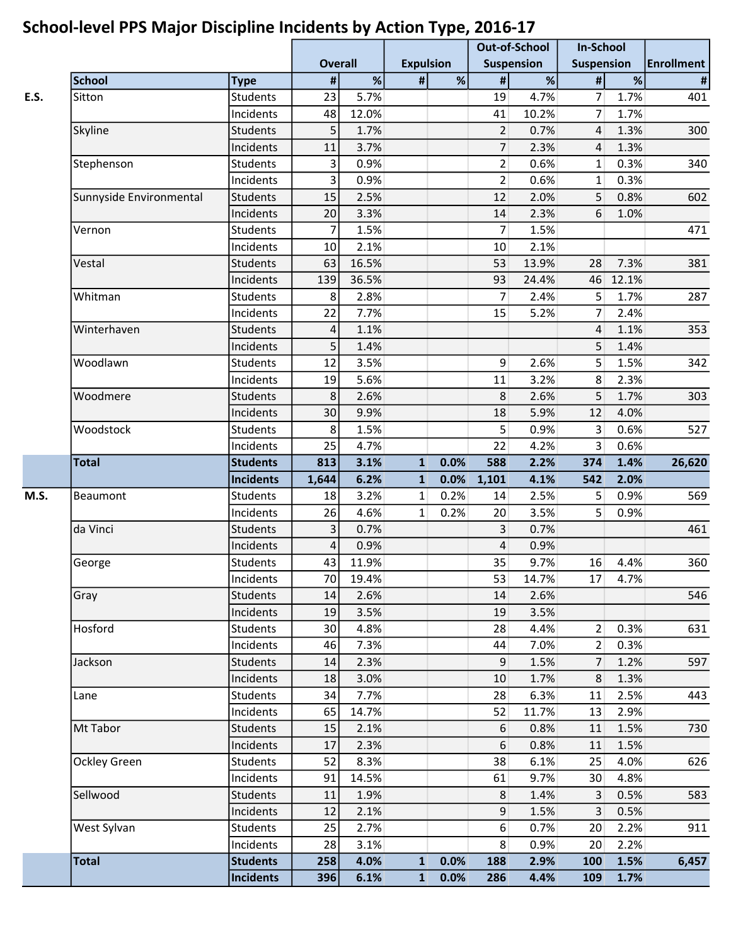|                         |                              |                |                 |                  |      | <b>Out-of-School</b>  |              | <b>In-School</b>  |              |                   |
|-------------------------|------------------------------|----------------|-----------------|------------------|------|-----------------------|--------------|-------------------|--------------|-------------------|
|                         |                              | <b>Overall</b> |                 | <b>Expulsion</b> |      | <b>Suspension</b>     |              | <b>Suspension</b> |              | <b>Enrollment</b> |
| <b>School</b>           | <b>Type</b>                  | $\pmb{\#}$     | $\overline{\%}$ | $\#$             | %    | $\pmb{\#}$            | $\%$         | $\Vert$           | %            | $\pmb{\sharp}$    |
| Sitton                  | Students                     | 23             | 5.7%            |                  |      | 19                    | 4.7%         | $\overline{7}$    | 1.7%         | 401               |
|                         | Incidents                    | 48             | 12.0%           |                  |      | 41                    | 10.2%        | $\overline{7}$    | 1.7%         |                   |
| Skyline                 | <b>Students</b>              | 5              | 1.7%            |                  |      | $\overline{2}$        | 0.7%         | 4                 | 1.3%         | 300               |
|                         | Incidents                    | 11             | 3.7%            |                  |      | 7                     | 2.3%         | 4                 | 1.3%         |                   |
| Stephenson              | <b>Students</b>              | 3              | 0.9%            |                  |      | $\overline{2}$        | 0.6%         | $\mathbf{1}$      | 0.3%         | 340               |
|                         | Incidents                    | 3              | 0.9%            |                  |      | $\overline{2}$        | 0.6%         | $\mathbf{1}$      | 0.3%         |                   |
| Sunnyside Environmental | <b>Students</b>              | 15             | 2.5%            |                  |      | 12                    | 2.0%         | 5                 | 0.8%         | 602               |
|                         | Incidents                    | 20             | 3.3%            |                  |      | 14                    | 2.3%         | 6                 | 1.0%         |                   |
| Vernon                  | <b>Students</b>              | $\overline{7}$ | 1.5%            |                  |      | $\overline{7}$        | 1.5%         |                   |              | 471               |
|                         | Incidents                    | 10             | 2.1%            |                  |      | 10                    | 2.1%         |                   |              |                   |
| Vestal                  | <b>Students</b>              | 63             | 16.5%           |                  |      | 53                    | 13.9%        | 28                | 7.3%         | 381               |
|                         | Incidents                    | 139            | 36.5%           |                  |      | 93                    | 24.4%        | 46                | 12.1%        |                   |
| Whitman                 | Students                     | 8              | 2.8%            |                  |      | $\overline{7}$        | 2.4%         | 5                 | 1.7%         | 287               |
|                         | Incidents                    | 22             | 7.7%            |                  |      | 15                    | 5.2%         | $\overline{7}$    | 2.4%         |                   |
| Winterhaven             | <b>Students</b>              | $\sqrt{4}$     | 1.1%            |                  |      |                       |              | $\overline{4}$    | 1.1%         | 353               |
|                         | Incidents                    | 5              | 1.4%            |                  |      |                       |              | 5                 | 1.4%         |                   |
| Woodlawn                | <b>Students</b>              | 12             | 3.5%            |                  |      | 9 <sup>1</sup>        | 2.6%         | 5                 | 1.5%         | 342               |
|                         | Incidents                    | 19             | 5.6%            |                  |      | 11                    | 3.2%         | 8                 | 2.3%         |                   |
| Woodmere                | <b>Students</b>              | 8              | 2.6%            |                  |      | 8                     | 2.6%         | 5                 | 1.7%         | 303               |
|                         | Incidents                    | 30             | 9.9%            |                  |      | 18                    | 5.9%         | 12                | 4.0%         |                   |
| Woodstock               | <b>Students</b>              | $\,8\,$        | 1.5%            |                  |      | 5 <sup>1</sup>        | 0.9%         | $\overline{3}$    | 0.6%         | 527               |
|                         | Incidents                    | 25             | 4.7%            |                  |      | 22                    | 4.2%         | $\overline{3}$    | 0.6%         |                   |
| <b>Total</b>            | <b>Students</b>              | 813            | 3.1%            | $\mathbf{1}$     | 0.0% | 588                   | 2.2%         | 374               | 1.4%         | 26,620            |
|                         | <b>Incidents</b>             | 1,644          | 6.2%            | $\mathbf{1}$     | 0.0% | 1,101                 | 4.1%         | 542               | 2.0%         |                   |
| Beaumont                | <b>Students</b>              | 18             | 3.2%            | 1                | 0.2% | 14                    | 2.5%         | 5                 | 0.9%         | 569               |
|                         | Incidents                    | 26             | 4.6%            | $\mathbf{1}$     | 0.2% | 20                    | 3.5%         | 5 <sup>1</sup>    | 0.9%         |                   |
| da Vinci                | <b>Students</b>              | $\overline{3}$ | 0.7%            |                  |      | $\overline{3}$        | 0.7%         |                   |              | 461               |
|                         | Incidents                    | 4              | 0.9%            |                  |      | $\overline{4}$        | 0.9%         |                   |              |                   |
| George                  | Students                     | 43             | 11.9%           |                  |      | 35                    | 9.7%         | 16                | 4.4%         | 360               |
|                         | Incidents                    | 70             | 19.4%           |                  |      | 53                    | 14.7%        | 17                | 4.7%         |                   |
| Gray                    | Students                     | 14             | 2.6%            |                  |      | 14                    | 2.6%         |                   |              | 546               |
|                         | Incidents                    | 19             | 3.5%            |                  |      | 19                    | 3.5%         |                   |              |                   |
| Hosford                 | Students                     | 30             | 4.8%            |                  |      | 28                    | 4.4%         | $\overline{2}$    | 0.3%         | 631               |
|                         | Incidents                    | 46             | 7.3%            |                  |      | 44                    | 7.0%         | 2 <sup>1</sup>    | 0.3%         |                   |
| Jackson                 | <b>Students</b>              | 14             | 2.3%            |                  |      | 9                     | 1.5%         | 7 <sup>1</sup>    | 1.2%         | 597               |
|                         | Incidents                    | 18             | 3.0%            |                  |      | 10                    | 1.7%         | 8                 | 1.3%         |                   |
| Lane                    | <b>Students</b>              | 34             | 7.7%            |                  |      | 28                    | 6.3%         | 11                | 2.5%         | 443               |
|                         | Incidents                    | 65             | 14.7%           |                  |      | 52                    | 11.7%        | 13                | 2.9%         |                   |
| Mt Tabor                | <b>Students</b>              | 15             | 2.1%            |                  |      | 6                     | 0.8%         | 11                | 1.5%         | 730               |
|                         | Incidents                    | 17             | 2.3%            |                  |      | 6                     | 0.8%         | 11                | 1.5%         |                   |
|                         |                              |                |                 |                  |      |                       | 6.1%         |                   | 4.0%         | 626               |
|                         |                              |                |                 |                  |      | 38                    |              | 25                |              |                   |
| Ockley Green            | <b>Students</b>              | 52             | 8.3%            |                  |      |                       |              |                   |              |                   |
|                         | Incidents                    | 91             | 14.5%           |                  |      | 61                    | 9.7%         | 30                | 4.8%         |                   |
| Sellwood                | <b>Students</b>              | 11             | 1.9%            |                  |      | 8                     | 1.4%         | 3 <sup>1</sup>    | 0.5%         | 583               |
|                         | Incidents                    | 12             | 2.1%            |                  |      | $\overline{9}$        | 1.5%         | 3                 | 0.5%         |                   |
| West Sylvan             | <b>Students</b>              | 25             | 2.7%            |                  |      | 6 <sup>1</sup>        | 0.7%         | 20                | 2.2%         | 911               |
| <b>Total</b>            | Incidents<br><b>Students</b> | 28<br>258      | 3.1%<br>4.0%    | $\mathbf{1}$     | 0.0% | 8 <sup>1</sup><br>188 | 0.9%<br>2.9% | 20<br>100         | 2.2%<br>1.5% | 6,457             |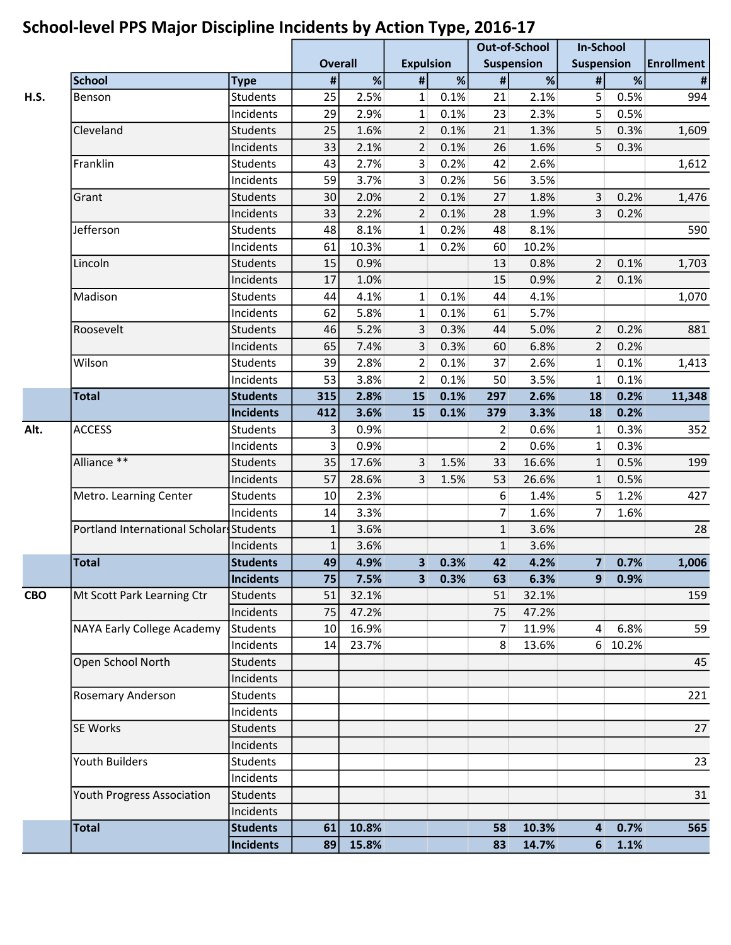| <b>Overall</b><br><b>Expulsion</b><br><b>Suspension</b><br><b>Suspension</b><br><b>Enrollment</b><br>%<br>$\%$<br>$\#$<br>%<br>$\pmb{\#}$<br>%<br>$\Vert$<br><b>School</b><br>#<br>$\pmb{\#}$<br><b>Type</b><br>25<br>2.5%<br>0.1%<br>2.1%<br>5<br>0.5%<br>$\mathbf{1}$<br>21<br>H.S.<br>Students<br>994<br>Benson<br>29<br>5 <sup>1</sup><br>0.5%<br>2.9%<br>$\mathbf{1}$<br>0.1%<br>23<br>2.3%<br>Incidents<br>25<br>Cleveland<br>0.1%<br>5<br><b>Students</b><br>1.6%<br>$\overline{2}$<br>21<br>1.3%<br>0.3%<br>1,609<br>33<br>5<br>2.1%<br>$\overline{2}$<br>0.1%<br>26<br>1.6%<br>0.3%<br>Incidents<br>Franklin<br>43<br>2.7%<br>$\overline{3}$<br>0.2%<br>2.6%<br>1,612<br>Students<br>42<br>59<br>3.7%<br>0.2%<br>Incidents<br>3<br>56<br>3.5%<br>$\overline{2}$<br>3 <sup>1</sup><br>0.2%<br><b>Students</b><br>30<br>2.0%<br>0.1%<br>1.8%<br>1,476<br>27<br>Grant<br>33<br>2.2%<br>0.1%<br>1.9%<br>$\overline{3}$<br>0.2%<br>Incidents<br>$\overline{2}$<br>28<br>Jefferson<br>48<br>8.1%<br>0.2%<br>590<br>Students<br>$\mathbf{1}$<br>48<br>8.1%<br>10.3%<br>0.2%<br>10.2%<br>61<br>$\mathbf{1}$<br>Incidents<br>60<br>Lincoln<br>15<br>0.8%<br>2<br>0.1%<br>Students<br>0.9%<br>1,703<br>13<br>17<br>1.0%<br>Incidents<br>15<br>0.9%<br>$\overline{2}$<br>0.1%<br>4.1%<br>Madison<br>Students<br>44<br>$\mathbf{1}$<br>0.1%<br>44<br>4.1%<br>1,070<br>5.8%<br>62<br>$\mathbf{1}$<br>0.1%<br>5.7%<br>Incidents<br>61<br>Roosevelt<br>46<br>5.2%<br>3<br>0.3%<br>5.0%<br>$\overline{2}$<br>0.2%<br>881<br>Students<br>44<br>65<br>0.2%<br>Incidents<br>7.4%<br>3<br>0.3%<br>6.8%<br>2<br>60<br>Wilson<br>39<br>2.8%<br>$\overline{2}$<br>0.1%<br>2.6%<br>$1\vert$<br>0.1%<br>Students<br>37<br>1,413<br>53<br>3.8%<br>3.5%<br>0.1%<br>Incidents<br>$\overline{2}$<br>0.1%<br>50<br>$\mathbf{1}$<br><b>Total</b><br><b>Students</b><br>315<br>2.8%<br>0.1%<br>0.2%<br>11,348<br>15<br>297<br>2.6%<br>18<br>412<br>3.6%<br>0.1%<br>3.3%<br>18<br>0.2%<br><b>Incidents</b><br>15<br>379<br>Alt.<br><b>ACCESS</b><br>0.9%<br>0.3%<br>352<br><b>Students</b><br>3<br>0.6%<br>2<br>$\mathbf{1}$<br>$\overline{3}$<br>Incidents<br>0.9%<br>0.6%<br>0.3%<br>2<br>1<br>Alliance **<br>35<br>1.5%<br>0.5%<br>199<br>17.6%<br>3<br>16.6%<br>$\mathbf{1}$<br><b>Students</b><br>33<br>57<br>0.5%<br>28.6%<br>3<br>53<br>26.6%<br>Incidents<br>1.5%<br>$\mathbf{1}$<br>427<br>Metro. Learning Center<br>2.3%<br>6<br>1.4%<br>5 <sup>1</sup><br>1.2%<br><b>Students</b><br>10<br>3.3%<br>7<br>$\overline{7}$<br>1.6%<br>1.6%<br>Incidents<br>14<br>3.6%<br>$\mathbf{1}$<br>28<br>Portland International Scholars Students<br>3.6%<br>$\mathbf{1}$<br>$\mathbf{1}$<br>$\mathbf{1}$<br>Incidents<br>3.6%<br>3.6%<br><b>Total</b><br>49<br>4.9%<br>3 <sup>1</sup><br>0.3%<br>42<br>4.2%<br>7 <sup>1</sup><br>0.7%<br>1,006<br><b>Students</b><br><b>Incidents</b><br>75<br>7.5%<br>0.3%<br>6.3%<br>3 <sup>1</sup><br>63<br>9<br>0.9%<br><b>CBO</b><br>Mt Scott Park Learning Ctr<br><b>Students</b><br>51<br>32.1%<br>32.1%<br>159<br>51<br>47.2%<br>47.2%<br>Incidents<br>75<br>75<br>NAYA Early College Academy<br>59<br><b>Students</b><br>16.9%<br>11.9%<br>$\vert$<br>6.8%<br>10<br>7<br>Incidents<br>23.7%<br>8<br>13.6%<br>6 10.2%<br>14<br>Open School North<br><b>Students</b><br>45<br>Incidents<br><b>Rosemary Anderson</b><br><b>Students</b><br>221<br>Incidents<br>27<br>SE Works<br><b>Students</b><br>Incidents<br>23<br><b>Youth Builders</b><br>Students<br>Incidents<br>Youth Progress Association<br><b>Students</b><br>31<br>Incidents<br><b>Total</b><br>10.8%<br>10.3%<br>0.7%<br><b>Students</b><br>61<br>58<br>$\overline{\mathbf{4}}$<br>565<br><b>Incidents</b><br>89<br>15.8%<br>83<br>14.7%<br>$6\phantom{1}$<br>1.1% |  |  |  | $\mathbf{r}$ | <b>Out-of-School</b> | <b>In-School</b> |  |
|----------------------------------------------------------------------------------------------------------------------------------------------------------------------------------------------------------------------------------------------------------------------------------------------------------------------------------------------------------------------------------------------------------------------------------------------------------------------------------------------------------------------------------------------------------------------------------------------------------------------------------------------------------------------------------------------------------------------------------------------------------------------------------------------------------------------------------------------------------------------------------------------------------------------------------------------------------------------------------------------------------------------------------------------------------------------------------------------------------------------------------------------------------------------------------------------------------------------------------------------------------------------------------------------------------------------------------------------------------------------------------------------------------------------------------------------------------------------------------------------------------------------------------------------------------------------------------------------------------------------------------------------------------------------------------------------------------------------------------------------------------------------------------------------------------------------------------------------------------------------------------------------------------------------------------------------------------------------------------------------------------------------------------------------------------------------------------------------------------------------------------------------------------------------------------------------------------------------------------------------------------------------------------------------------------------------------------------------------------------------------------------------------------------------------------------------------------------------------------------------------------------------------------------------------------------------------------------------------------------------------------------------------------------------------------------------------------------------------------------------------------------------------------------------------------------------------------------------------------------------------------------------------------------------------------------------------------------------------------------------------------------------------------------------------------------------------------------------------------------------------------------------------------------------------------------------------------------------------------------------------------------------------------------------------------------------------------------------------------------------------------------------------------------------------------------------------------------------------------------------------------------------------------------------------------------------------------------------------------------------------------------------------------------------------------------------------------------------------------------------|--|--|--|--------------|----------------------|------------------|--|
|                                                                                                                                                                                                                                                                                                                                                                                                                                                                                                                                                                                                                                                                                                                                                                                                                                                                                                                                                                                                                                                                                                                                                                                                                                                                                                                                                                                                                                                                                                                                                                                                                                                                                                                                                                                                                                                                                                                                                                                                                                                                                                                                                                                                                                                                                                                                                                                                                                                                                                                                                                                                                                                                                                                                                                                                                                                                                                                                                                                                                                                                                                                                                                                                                                                                                                                                                                                                                                                                                                                                                                                                                                                                                                                                              |  |  |  |              |                      |                  |  |
|                                                                                                                                                                                                                                                                                                                                                                                                                                                                                                                                                                                                                                                                                                                                                                                                                                                                                                                                                                                                                                                                                                                                                                                                                                                                                                                                                                                                                                                                                                                                                                                                                                                                                                                                                                                                                                                                                                                                                                                                                                                                                                                                                                                                                                                                                                                                                                                                                                                                                                                                                                                                                                                                                                                                                                                                                                                                                                                                                                                                                                                                                                                                                                                                                                                                                                                                                                                                                                                                                                                                                                                                                                                                                                                                              |  |  |  |              |                      |                  |  |
|                                                                                                                                                                                                                                                                                                                                                                                                                                                                                                                                                                                                                                                                                                                                                                                                                                                                                                                                                                                                                                                                                                                                                                                                                                                                                                                                                                                                                                                                                                                                                                                                                                                                                                                                                                                                                                                                                                                                                                                                                                                                                                                                                                                                                                                                                                                                                                                                                                                                                                                                                                                                                                                                                                                                                                                                                                                                                                                                                                                                                                                                                                                                                                                                                                                                                                                                                                                                                                                                                                                                                                                                                                                                                                                                              |  |  |  |              |                      |                  |  |
|                                                                                                                                                                                                                                                                                                                                                                                                                                                                                                                                                                                                                                                                                                                                                                                                                                                                                                                                                                                                                                                                                                                                                                                                                                                                                                                                                                                                                                                                                                                                                                                                                                                                                                                                                                                                                                                                                                                                                                                                                                                                                                                                                                                                                                                                                                                                                                                                                                                                                                                                                                                                                                                                                                                                                                                                                                                                                                                                                                                                                                                                                                                                                                                                                                                                                                                                                                                                                                                                                                                                                                                                                                                                                                                                              |  |  |  |              |                      |                  |  |
|                                                                                                                                                                                                                                                                                                                                                                                                                                                                                                                                                                                                                                                                                                                                                                                                                                                                                                                                                                                                                                                                                                                                                                                                                                                                                                                                                                                                                                                                                                                                                                                                                                                                                                                                                                                                                                                                                                                                                                                                                                                                                                                                                                                                                                                                                                                                                                                                                                                                                                                                                                                                                                                                                                                                                                                                                                                                                                                                                                                                                                                                                                                                                                                                                                                                                                                                                                                                                                                                                                                                                                                                                                                                                                                                              |  |  |  |              |                      |                  |  |
|                                                                                                                                                                                                                                                                                                                                                                                                                                                                                                                                                                                                                                                                                                                                                                                                                                                                                                                                                                                                                                                                                                                                                                                                                                                                                                                                                                                                                                                                                                                                                                                                                                                                                                                                                                                                                                                                                                                                                                                                                                                                                                                                                                                                                                                                                                                                                                                                                                                                                                                                                                                                                                                                                                                                                                                                                                                                                                                                                                                                                                                                                                                                                                                                                                                                                                                                                                                                                                                                                                                                                                                                                                                                                                                                              |  |  |  |              |                      |                  |  |
|                                                                                                                                                                                                                                                                                                                                                                                                                                                                                                                                                                                                                                                                                                                                                                                                                                                                                                                                                                                                                                                                                                                                                                                                                                                                                                                                                                                                                                                                                                                                                                                                                                                                                                                                                                                                                                                                                                                                                                                                                                                                                                                                                                                                                                                                                                                                                                                                                                                                                                                                                                                                                                                                                                                                                                                                                                                                                                                                                                                                                                                                                                                                                                                                                                                                                                                                                                                                                                                                                                                                                                                                                                                                                                                                              |  |  |  |              |                      |                  |  |
|                                                                                                                                                                                                                                                                                                                                                                                                                                                                                                                                                                                                                                                                                                                                                                                                                                                                                                                                                                                                                                                                                                                                                                                                                                                                                                                                                                                                                                                                                                                                                                                                                                                                                                                                                                                                                                                                                                                                                                                                                                                                                                                                                                                                                                                                                                                                                                                                                                                                                                                                                                                                                                                                                                                                                                                                                                                                                                                                                                                                                                                                                                                                                                                                                                                                                                                                                                                                                                                                                                                                                                                                                                                                                                                                              |  |  |  |              |                      |                  |  |
|                                                                                                                                                                                                                                                                                                                                                                                                                                                                                                                                                                                                                                                                                                                                                                                                                                                                                                                                                                                                                                                                                                                                                                                                                                                                                                                                                                                                                                                                                                                                                                                                                                                                                                                                                                                                                                                                                                                                                                                                                                                                                                                                                                                                                                                                                                                                                                                                                                                                                                                                                                                                                                                                                                                                                                                                                                                                                                                                                                                                                                                                                                                                                                                                                                                                                                                                                                                                                                                                                                                                                                                                                                                                                                                                              |  |  |  |              |                      |                  |  |
|                                                                                                                                                                                                                                                                                                                                                                                                                                                                                                                                                                                                                                                                                                                                                                                                                                                                                                                                                                                                                                                                                                                                                                                                                                                                                                                                                                                                                                                                                                                                                                                                                                                                                                                                                                                                                                                                                                                                                                                                                                                                                                                                                                                                                                                                                                                                                                                                                                                                                                                                                                                                                                                                                                                                                                                                                                                                                                                                                                                                                                                                                                                                                                                                                                                                                                                                                                                                                                                                                                                                                                                                                                                                                                                                              |  |  |  |              |                      |                  |  |
|                                                                                                                                                                                                                                                                                                                                                                                                                                                                                                                                                                                                                                                                                                                                                                                                                                                                                                                                                                                                                                                                                                                                                                                                                                                                                                                                                                                                                                                                                                                                                                                                                                                                                                                                                                                                                                                                                                                                                                                                                                                                                                                                                                                                                                                                                                                                                                                                                                                                                                                                                                                                                                                                                                                                                                                                                                                                                                                                                                                                                                                                                                                                                                                                                                                                                                                                                                                                                                                                                                                                                                                                                                                                                                                                              |  |  |  |              |                      |                  |  |
|                                                                                                                                                                                                                                                                                                                                                                                                                                                                                                                                                                                                                                                                                                                                                                                                                                                                                                                                                                                                                                                                                                                                                                                                                                                                                                                                                                                                                                                                                                                                                                                                                                                                                                                                                                                                                                                                                                                                                                                                                                                                                                                                                                                                                                                                                                                                                                                                                                                                                                                                                                                                                                                                                                                                                                                                                                                                                                                                                                                                                                                                                                                                                                                                                                                                                                                                                                                                                                                                                                                                                                                                                                                                                                                                              |  |  |  |              |                      |                  |  |
|                                                                                                                                                                                                                                                                                                                                                                                                                                                                                                                                                                                                                                                                                                                                                                                                                                                                                                                                                                                                                                                                                                                                                                                                                                                                                                                                                                                                                                                                                                                                                                                                                                                                                                                                                                                                                                                                                                                                                                                                                                                                                                                                                                                                                                                                                                                                                                                                                                                                                                                                                                                                                                                                                                                                                                                                                                                                                                                                                                                                                                                                                                                                                                                                                                                                                                                                                                                                                                                                                                                                                                                                                                                                                                                                              |  |  |  |              |                      |                  |  |
|                                                                                                                                                                                                                                                                                                                                                                                                                                                                                                                                                                                                                                                                                                                                                                                                                                                                                                                                                                                                                                                                                                                                                                                                                                                                                                                                                                                                                                                                                                                                                                                                                                                                                                                                                                                                                                                                                                                                                                                                                                                                                                                                                                                                                                                                                                                                                                                                                                                                                                                                                                                                                                                                                                                                                                                                                                                                                                                                                                                                                                                                                                                                                                                                                                                                                                                                                                                                                                                                                                                                                                                                                                                                                                                                              |  |  |  |              |                      |                  |  |
|                                                                                                                                                                                                                                                                                                                                                                                                                                                                                                                                                                                                                                                                                                                                                                                                                                                                                                                                                                                                                                                                                                                                                                                                                                                                                                                                                                                                                                                                                                                                                                                                                                                                                                                                                                                                                                                                                                                                                                                                                                                                                                                                                                                                                                                                                                                                                                                                                                                                                                                                                                                                                                                                                                                                                                                                                                                                                                                                                                                                                                                                                                                                                                                                                                                                                                                                                                                                                                                                                                                                                                                                                                                                                                                                              |  |  |  |              |                      |                  |  |
|                                                                                                                                                                                                                                                                                                                                                                                                                                                                                                                                                                                                                                                                                                                                                                                                                                                                                                                                                                                                                                                                                                                                                                                                                                                                                                                                                                                                                                                                                                                                                                                                                                                                                                                                                                                                                                                                                                                                                                                                                                                                                                                                                                                                                                                                                                                                                                                                                                                                                                                                                                                                                                                                                                                                                                                                                                                                                                                                                                                                                                                                                                                                                                                                                                                                                                                                                                                                                                                                                                                                                                                                                                                                                                                                              |  |  |  |              |                      |                  |  |
|                                                                                                                                                                                                                                                                                                                                                                                                                                                                                                                                                                                                                                                                                                                                                                                                                                                                                                                                                                                                                                                                                                                                                                                                                                                                                                                                                                                                                                                                                                                                                                                                                                                                                                                                                                                                                                                                                                                                                                                                                                                                                                                                                                                                                                                                                                                                                                                                                                                                                                                                                                                                                                                                                                                                                                                                                                                                                                                                                                                                                                                                                                                                                                                                                                                                                                                                                                                                                                                                                                                                                                                                                                                                                                                                              |  |  |  |              |                      |                  |  |
|                                                                                                                                                                                                                                                                                                                                                                                                                                                                                                                                                                                                                                                                                                                                                                                                                                                                                                                                                                                                                                                                                                                                                                                                                                                                                                                                                                                                                                                                                                                                                                                                                                                                                                                                                                                                                                                                                                                                                                                                                                                                                                                                                                                                                                                                                                                                                                                                                                                                                                                                                                                                                                                                                                                                                                                                                                                                                                                                                                                                                                                                                                                                                                                                                                                                                                                                                                                                                                                                                                                                                                                                                                                                                                                                              |  |  |  |              |                      |                  |  |
|                                                                                                                                                                                                                                                                                                                                                                                                                                                                                                                                                                                                                                                                                                                                                                                                                                                                                                                                                                                                                                                                                                                                                                                                                                                                                                                                                                                                                                                                                                                                                                                                                                                                                                                                                                                                                                                                                                                                                                                                                                                                                                                                                                                                                                                                                                                                                                                                                                                                                                                                                                                                                                                                                                                                                                                                                                                                                                                                                                                                                                                                                                                                                                                                                                                                                                                                                                                                                                                                                                                                                                                                                                                                                                                                              |  |  |  |              |                      |                  |  |
|                                                                                                                                                                                                                                                                                                                                                                                                                                                                                                                                                                                                                                                                                                                                                                                                                                                                                                                                                                                                                                                                                                                                                                                                                                                                                                                                                                                                                                                                                                                                                                                                                                                                                                                                                                                                                                                                                                                                                                                                                                                                                                                                                                                                                                                                                                                                                                                                                                                                                                                                                                                                                                                                                                                                                                                                                                                                                                                                                                                                                                                                                                                                                                                                                                                                                                                                                                                                                                                                                                                                                                                                                                                                                                                                              |  |  |  |              |                      |                  |  |
|                                                                                                                                                                                                                                                                                                                                                                                                                                                                                                                                                                                                                                                                                                                                                                                                                                                                                                                                                                                                                                                                                                                                                                                                                                                                                                                                                                                                                                                                                                                                                                                                                                                                                                                                                                                                                                                                                                                                                                                                                                                                                                                                                                                                                                                                                                                                                                                                                                                                                                                                                                                                                                                                                                                                                                                                                                                                                                                                                                                                                                                                                                                                                                                                                                                                                                                                                                                                                                                                                                                                                                                                                                                                                                                                              |  |  |  |              |                      |                  |  |
|                                                                                                                                                                                                                                                                                                                                                                                                                                                                                                                                                                                                                                                                                                                                                                                                                                                                                                                                                                                                                                                                                                                                                                                                                                                                                                                                                                                                                                                                                                                                                                                                                                                                                                                                                                                                                                                                                                                                                                                                                                                                                                                                                                                                                                                                                                                                                                                                                                                                                                                                                                                                                                                                                                                                                                                                                                                                                                                                                                                                                                                                                                                                                                                                                                                                                                                                                                                                                                                                                                                                                                                                                                                                                                                                              |  |  |  |              |                      |                  |  |
|                                                                                                                                                                                                                                                                                                                                                                                                                                                                                                                                                                                                                                                                                                                                                                                                                                                                                                                                                                                                                                                                                                                                                                                                                                                                                                                                                                                                                                                                                                                                                                                                                                                                                                                                                                                                                                                                                                                                                                                                                                                                                                                                                                                                                                                                                                                                                                                                                                                                                                                                                                                                                                                                                                                                                                                                                                                                                                                                                                                                                                                                                                                                                                                                                                                                                                                                                                                                                                                                                                                                                                                                                                                                                                                                              |  |  |  |              |                      |                  |  |
|                                                                                                                                                                                                                                                                                                                                                                                                                                                                                                                                                                                                                                                                                                                                                                                                                                                                                                                                                                                                                                                                                                                                                                                                                                                                                                                                                                                                                                                                                                                                                                                                                                                                                                                                                                                                                                                                                                                                                                                                                                                                                                                                                                                                                                                                                                                                                                                                                                                                                                                                                                                                                                                                                                                                                                                                                                                                                                                                                                                                                                                                                                                                                                                                                                                                                                                                                                                                                                                                                                                                                                                                                                                                                                                                              |  |  |  |              |                      |                  |  |
|                                                                                                                                                                                                                                                                                                                                                                                                                                                                                                                                                                                                                                                                                                                                                                                                                                                                                                                                                                                                                                                                                                                                                                                                                                                                                                                                                                                                                                                                                                                                                                                                                                                                                                                                                                                                                                                                                                                                                                                                                                                                                                                                                                                                                                                                                                                                                                                                                                                                                                                                                                                                                                                                                                                                                                                                                                                                                                                                                                                                                                                                                                                                                                                                                                                                                                                                                                                                                                                                                                                                                                                                                                                                                                                                              |  |  |  |              |                      |                  |  |
|                                                                                                                                                                                                                                                                                                                                                                                                                                                                                                                                                                                                                                                                                                                                                                                                                                                                                                                                                                                                                                                                                                                                                                                                                                                                                                                                                                                                                                                                                                                                                                                                                                                                                                                                                                                                                                                                                                                                                                                                                                                                                                                                                                                                                                                                                                                                                                                                                                                                                                                                                                                                                                                                                                                                                                                                                                                                                                                                                                                                                                                                                                                                                                                                                                                                                                                                                                                                                                                                                                                                                                                                                                                                                                                                              |  |  |  |              |                      |                  |  |
|                                                                                                                                                                                                                                                                                                                                                                                                                                                                                                                                                                                                                                                                                                                                                                                                                                                                                                                                                                                                                                                                                                                                                                                                                                                                                                                                                                                                                                                                                                                                                                                                                                                                                                                                                                                                                                                                                                                                                                                                                                                                                                                                                                                                                                                                                                                                                                                                                                                                                                                                                                                                                                                                                                                                                                                                                                                                                                                                                                                                                                                                                                                                                                                                                                                                                                                                                                                                                                                                                                                                                                                                                                                                                                                                              |  |  |  |              |                      |                  |  |
|                                                                                                                                                                                                                                                                                                                                                                                                                                                                                                                                                                                                                                                                                                                                                                                                                                                                                                                                                                                                                                                                                                                                                                                                                                                                                                                                                                                                                                                                                                                                                                                                                                                                                                                                                                                                                                                                                                                                                                                                                                                                                                                                                                                                                                                                                                                                                                                                                                                                                                                                                                                                                                                                                                                                                                                                                                                                                                                                                                                                                                                                                                                                                                                                                                                                                                                                                                                                                                                                                                                                                                                                                                                                                                                                              |  |  |  |              |                      |                  |  |
|                                                                                                                                                                                                                                                                                                                                                                                                                                                                                                                                                                                                                                                                                                                                                                                                                                                                                                                                                                                                                                                                                                                                                                                                                                                                                                                                                                                                                                                                                                                                                                                                                                                                                                                                                                                                                                                                                                                                                                                                                                                                                                                                                                                                                                                                                                                                                                                                                                                                                                                                                                                                                                                                                                                                                                                                                                                                                                                                                                                                                                                                                                                                                                                                                                                                                                                                                                                                                                                                                                                                                                                                                                                                                                                                              |  |  |  |              |                      |                  |  |
|                                                                                                                                                                                                                                                                                                                                                                                                                                                                                                                                                                                                                                                                                                                                                                                                                                                                                                                                                                                                                                                                                                                                                                                                                                                                                                                                                                                                                                                                                                                                                                                                                                                                                                                                                                                                                                                                                                                                                                                                                                                                                                                                                                                                                                                                                                                                                                                                                                                                                                                                                                                                                                                                                                                                                                                                                                                                                                                                                                                                                                                                                                                                                                                                                                                                                                                                                                                                                                                                                                                                                                                                                                                                                                                                              |  |  |  |              |                      |                  |  |
|                                                                                                                                                                                                                                                                                                                                                                                                                                                                                                                                                                                                                                                                                                                                                                                                                                                                                                                                                                                                                                                                                                                                                                                                                                                                                                                                                                                                                                                                                                                                                                                                                                                                                                                                                                                                                                                                                                                                                                                                                                                                                                                                                                                                                                                                                                                                                                                                                                                                                                                                                                                                                                                                                                                                                                                                                                                                                                                                                                                                                                                                                                                                                                                                                                                                                                                                                                                                                                                                                                                                                                                                                                                                                                                                              |  |  |  |              |                      |                  |  |
|                                                                                                                                                                                                                                                                                                                                                                                                                                                                                                                                                                                                                                                                                                                                                                                                                                                                                                                                                                                                                                                                                                                                                                                                                                                                                                                                                                                                                                                                                                                                                                                                                                                                                                                                                                                                                                                                                                                                                                                                                                                                                                                                                                                                                                                                                                                                                                                                                                                                                                                                                                                                                                                                                                                                                                                                                                                                                                                                                                                                                                                                                                                                                                                                                                                                                                                                                                                                                                                                                                                                                                                                                                                                                                                                              |  |  |  |              |                      |                  |  |
|                                                                                                                                                                                                                                                                                                                                                                                                                                                                                                                                                                                                                                                                                                                                                                                                                                                                                                                                                                                                                                                                                                                                                                                                                                                                                                                                                                                                                                                                                                                                                                                                                                                                                                                                                                                                                                                                                                                                                                                                                                                                                                                                                                                                                                                                                                                                                                                                                                                                                                                                                                                                                                                                                                                                                                                                                                                                                                                                                                                                                                                                                                                                                                                                                                                                                                                                                                                                                                                                                                                                                                                                                                                                                                                                              |  |  |  |              |                      |                  |  |
|                                                                                                                                                                                                                                                                                                                                                                                                                                                                                                                                                                                                                                                                                                                                                                                                                                                                                                                                                                                                                                                                                                                                                                                                                                                                                                                                                                                                                                                                                                                                                                                                                                                                                                                                                                                                                                                                                                                                                                                                                                                                                                                                                                                                                                                                                                                                                                                                                                                                                                                                                                                                                                                                                                                                                                                                                                                                                                                                                                                                                                                                                                                                                                                                                                                                                                                                                                                                                                                                                                                                                                                                                                                                                                                                              |  |  |  |              |                      |                  |  |
|                                                                                                                                                                                                                                                                                                                                                                                                                                                                                                                                                                                                                                                                                                                                                                                                                                                                                                                                                                                                                                                                                                                                                                                                                                                                                                                                                                                                                                                                                                                                                                                                                                                                                                                                                                                                                                                                                                                                                                                                                                                                                                                                                                                                                                                                                                                                                                                                                                                                                                                                                                                                                                                                                                                                                                                                                                                                                                                                                                                                                                                                                                                                                                                                                                                                                                                                                                                                                                                                                                                                                                                                                                                                                                                                              |  |  |  |              |                      |                  |  |
|                                                                                                                                                                                                                                                                                                                                                                                                                                                                                                                                                                                                                                                                                                                                                                                                                                                                                                                                                                                                                                                                                                                                                                                                                                                                                                                                                                                                                                                                                                                                                                                                                                                                                                                                                                                                                                                                                                                                                                                                                                                                                                                                                                                                                                                                                                                                                                                                                                                                                                                                                                                                                                                                                                                                                                                                                                                                                                                                                                                                                                                                                                                                                                                                                                                                                                                                                                                                                                                                                                                                                                                                                                                                                                                                              |  |  |  |              |                      |                  |  |
|                                                                                                                                                                                                                                                                                                                                                                                                                                                                                                                                                                                                                                                                                                                                                                                                                                                                                                                                                                                                                                                                                                                                                                                                                                                                                                                                                                                                                                                                                                                                                                                                                                                                                                                                                                                                                                                                                                                                                                                                                                                                                                                                                                                                                                                                                                                                                                                                                                                                                                                                                                                                                                                                                                                                                                                                                                                                                                                                                                                                                                                                                                                                                                                                                                                                                                                                                                                                                                                                                                                                                                                                                                                                                                                                              |  |  |  |              |                      |                  |  |
|                                                                                                                                                                                                                                                                                                                                                                                                                                                                                                                                                                                                                                                                                                                                                                                                                                                                                                                                                                                                                                                                                                                                                                                                                                                                                                                                                                                                                                                                                                                                                                                                                                                                                                                                                                                                                                                                                                                                                                                                                                                                                                                                                                                                                                                                                                                                                                                                                                                                                                                                                                                                                                                                                                                                                                                                                                                                                                                                                                                                                                                                                                                                                                                                                                                                                                                                                                                                                                                                                                                                                                                                                                                                                                                                              |  |  |  |              |                      |                  |  |
|                                                                                                                                                                                                                                                                                                                                                                                                                                                                                                                                                                                                                                                                                                                                                                                                                                                                                                                                                                                                                                                                                                                                                                                                                                                                                                                                                                                                                                                                                                                                                                                                                                                                                                                                                                                                                                                                                                                                                                                                                                                                                                                                                                                                                                                                                                                                                                                                                                                                                                                                                                                                                                                                                                                                                                                                                                                                                                                                                                                                                                                                                                                                                                                                                                                                                                                                                                                                                                                                                                                                                                                                                                                                                                                                              |  |  |  |              |                      |                  |  |
|                                                                                                                                                                                                                                                                                                                                                                                                                                                                                                                                                                                                                                                                                                                                                                                                                                                                                                                                                                                                                                                                                                                                                                                                                                                                                                                                                                                                                                                                                                                                                                                                                                                                                                                                                                                                                                                                                                                                                                                                                                                                                                                                                                                                                                                                                                                                                                                                                                                                                                                                                                                                                                                                                                                                                                                                                                                                                                                                                                                                                                                                                                                                                                                                                                                                                                                                                                                                                                                                                                                                                                                                                                                                                                                                              |  |  |  |              |                      |                  |  |
|                                                                                                                                                                                                                                                                                                                                                                                                                                                                                                                                                                                                                                                                                                                                                                                                                                                                                                                                                                                                                                                                                                                                                                                                                                                                                                                                                                                                                                                                                                                                                                                                                                                                                                                                                                                                                                                                                                                                                                                                                                                                                                                                                                                                                                                                                                                                                                                                                                                                                                                                                                                                                                                                                                                                                                                                                                                                                                                                                                                                                                                                                                                                                                                                                                                                                                                                                                                                                                                                                                                                                                                                                                                                                                                                              |  |  |  |              |                      |                  |  |
|                                                                                                                                                                                                                                                                                                                                                                                                                                                                                                                                                                                                                                                                                                                                                                                                                                                                                                                                                                                                                                                                                                                                                                                                                                                                                                                                                                                                                                                                                                                                                                                                                                                                                                                                                                                                                                                                                                                                                                                                                                                                                                                                                                                                                                                                                                                                                                                                                                                                                                                                                                                                                                                                                                                                                                                                                                                                                                                                                                                                                                                                                                                                                                                                                                                                                                                                                                                                                                                                                                                                                                                                                                                                                                                                              |  |  |  |              |                      |                  |  |
|                                                                                                                                                                                                                                                                                                                                                                                                                                                                                                                                                                                                                                                                                                                                                                                                                                                                                                                                                                                                                                                                                                                                                                                                                                                                                                                                                                                                                                                                                                                                                                                                                                                                                                                                                                                                                                                                                                                                                                                                                                                                                                                                                                                                                                                                                                                                                                                                                                                                                                                                                                                                                                                                                                                                                                                                                                                                                                                                                                                                                                                                                                                                                                                                                                                                                                                                                                                                                                                                                                                                                                                                                                                                                                                                              |  |  |  |              |                      |                  |  |
|                                                                                                                                                                                                                                                                                                                                                                                                                                                                                                                                                                                                                                                                                                                                                                                                                                                                                                                                                                                                                                                                                                                                                                                                                                                                                                                                                                                                                                                                                                                                                                                                                                                                                                                                                                                                                                                                                                                                                                                                                                                                                                                                                                                                                                                                                                                                                                                                                                                                                                                                                                                                                                                                                                                                                                                                                                                                                                                                                                                                                                                                                                                                                                                                                                                                                                                                                                                                                                                                                                                                                                                                                                                                                                                                              |  |  |  |              |                      |                  |  |
|                                                                                                                                                                                                                                                                                                                                                                                                                                                                                                                                                                                                                                                                                                                                                                                                                                                                                                                                                                                                                                                                                                                                                                                                                                                                                                                                                                                                                                                                                                                                                                                                                                                                                                                                                                                                                                                                                                                                                                                                                                                                                                                                                                                                                                                                                                                                                                                                                                                                                                                                                                                                                                                                                                                                                                                                                                                                                                                                                                                                                                                                                                                                                                                                                                                                                                                                                                                                                                                                                                                                                                                                                                                                                                                                              |  |  |  |              |                      |                  |  |
|                                                                                                                                                                                                                                                                                                                                                                                                                                                                                                                                                                                                                                                                                                                                                                                                                                                                                                                                                                                                                                                                                                                                                                                                                                                                                                                                                                                                                                                                                                                                                                                                                                                                                                                                                                                                                                                                                                                                                                                                                                                                                                                                                                                                                                                                                                                                                                                                                                                                                                                                                                                                                                                                                                                                                                                                                                                                                                                                                                                                                                                                                                                                                                                                                                                                                                                                                                                                                                                                                                                                                                                                                                                                                                                                              |  |  |  |              |                      |                  |  |
|                                                                                                                                                                                                                                                                                                                                                                                                                                                                                                                                                                                                                                                                                                                                                                                                                                                                                                                                                                                                                                                                                                                                                                                                                                                                                                                                                                                                                                                                                                                                                                                                                                                                                                                                                                                                                                                                                                                                                                                                                                                                                                                                                                                                                                                                                                                                                                                                                                                                                                                                                                                                                                                                                                                                                                                                                                                                                                                                                                                                                                                                                                                                                                                                                                                                                                                                                                                                                                                                                                                                                                                                                                                                                                                                              |  |  |  |              |                      |                  |  |